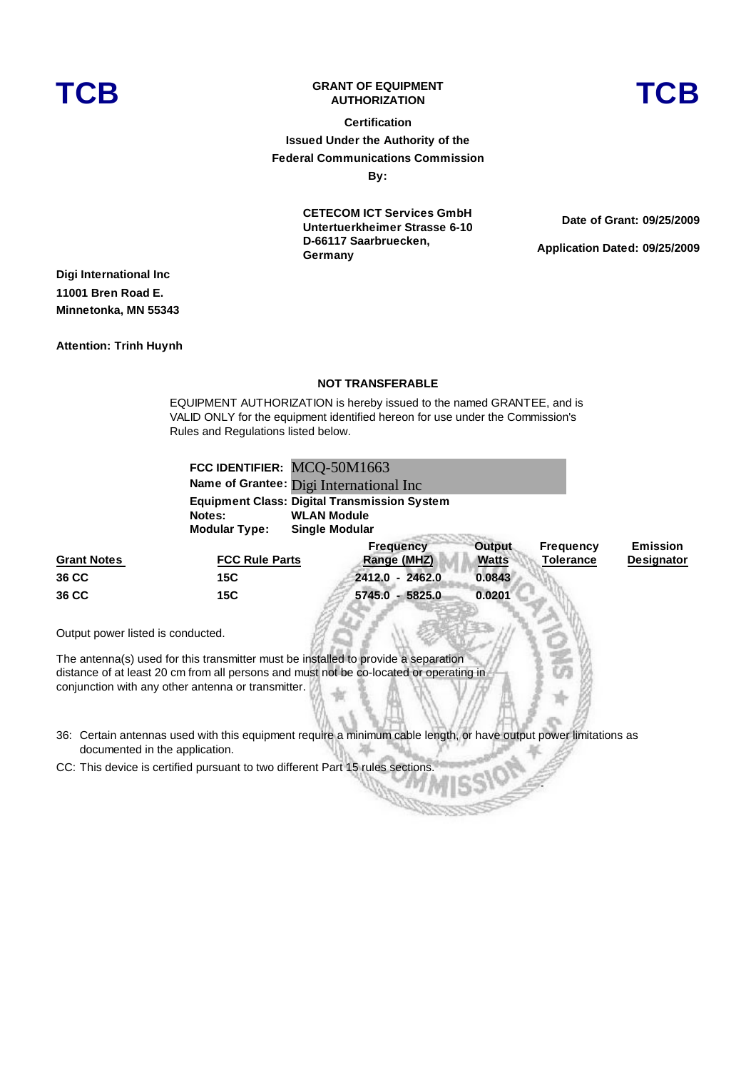## **TCB GRANT OF EQUIPMENT**



**Certification Issued Under the Authority of the Federal Communications Commission By:**

> **CETECOM ICT Services GmbH Untertuerkheimer Strasse 6-10 D-66117 Saarbruecken, Germany**

**Date of Grant: 09/25/2009**

**Application Dated: 09/25/2009**

**Digi International Inc 11001 Bren Road E. Minnetonka, MN 55343**

**Attention: Trinh Huynh**

## **NOT TRANSFERABLE**

EQUIPMENT AUTHORIZATION is hereby issued to the named GRANTEE, and is VALID ONLY for the equipment identified hereon for use under the Commission's Rules and Regulations listed below.

|                    | FCC IDENTIFIER: MCQ-50M1663                                                           |                                             |                                                                       |                                      |
|--------------------|---------------------------------------------------------------------------------------|---------------------------------------------|-----------------------------------------------------------------------|--------------------------------------|
|                    | Name of Grantee: Digi International Inc.                                              |                                             |                                                                       |                                      |
|                    | <b>Equipment Class: Digital Transmission System</b><br>Notes:<br><b>Modular Type:</b> | <b>WLAN Module</b><br><b>Single Modular</b> |                                                                       |                                      |
| <b>Grant Notes</b> | <b>FCC Rule Parts</b>                                                                 | <b>Frequency</b><br>Range (MHZ)             | <b>Output</b><br><b>Frequency</b><br><b>Tolerance</b><br><b>Watts</b> | <b>Emission</b><br><b>Designator</b> |
| 36 CC              | 15C                                                                                   | 2412.0 - 2462.0                             | 0.0843                                                                |                                      |
| 36 CC              | 15C                                                                                   | $5745.0 - 5825.0$                           | 0.0201                                                                |                                      |

Output power listed is conducted.

The antenna(s) used for this transmitter must be installed to provide a separation distance of at least 20 cm from all persons and must not be co-located or operating in conjunction with any other antenna or transmitter.

- 36: Certain antennas used with this equipment require a minimum cable length, or have output power limitations as documented in the application.
- CC: This device is certified pursuant to two different Part 15 rules sections.